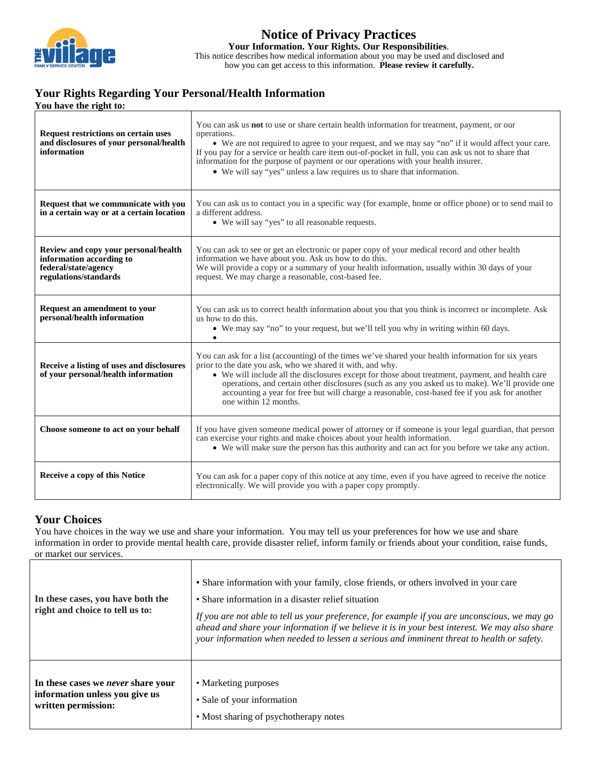

## **Notice of Privacy Practices Your Information. Your Rights. Our Responsibilities**.

This notice describes how medical information about you may be used and disclosed and how you can get access to this information. **Please review it carefully.**

# **Your Rights Regarding Your Personal/Health Information**

|  |  | You have the right to: |  |
|--|--|------------------------|--|

| <b>Request restrictions on certain uses</b><br>and disclosures of your personal/health<br>information             | You can ask us <b>not</b> to use or share certain health information for treatment, payment, or our<br>operations.<br>• We are not required to agree to your request, and we may say "no" if it would affect your care.<br>If you pay for a service or health care item out-of-pocket in full, you can ask us not to share that<br>information for the purpose of payment or our operations with your health insurer.<br>• We will say "yes" unless a law requires us to share that information.    |
|-------------------------------------------------------------------------------------------------------------------|-----------------------------------------------------------------------------------------------------------------------------------------------------------------------------------------------------------------------------------------------------------------------------------------------------------------------------------------------------------------------------------------------------------------------------------------------------------------------------------------------------|
| Request that we communicate with you<br>in a certain way or at a certain location                                 | You can ask us to contact you in a specific way (for example, home or office phone) or to send mail to<br>a different address.<br>• We will say "yes" to all reasonable requests.                                                                                                                                                                                                                                                                                                                   |
| Review and copy your personal/health<br>information according to<br>federal/state/agency<br>regulations/standards | You can ask to see or get an electronic or paper copy of your medical record and other health<br>information we have about you. Ask us how to do this.<br>We will provide a copy or a summary of your health information, usually within 30 days of your<br>request. We may charge a reasonable, cost-based fee.                                                                                                                                                                                    |
| Request an amendment to your<br>personal/health information                                                       | You can ask us to correct health information about you that you think is incorrect or incomplete. Ask<br>us how to do this.<br>• We may say "no" to your request, but we'll tell you why in writing within 60 days.                                                                                                                                                                                                                                                                                 |
| Receive a listing of uses and disclosures<br>of your personal/health information                                  | You can ask for a list (accounting) of the times we've shared your health information for six years<br>prior to the date you ask, who we shared it with, and why.<br>• We will include all the disclosures except for those about treatment, payment, and health care<br>operations, and certain other disclosures (such as any you asked us to make). We'll provide one<br>accounting a year for free but will charge a reasonable, cost-based fee if you ask for another<br>one within 12 months. |
| Choose someone to act on your behalf                                                                              | If you have given someone medical power of attorney or if someone is your legal guardian, that person<br>can exercise your rights and make choices about your health information.<br>• We will make sure the person has this authority and can act for you before we take any action.                                                                                                                                                                                                               |
| Receive a copy of this Notice                                                                                     | You can ask for a paper copy of this notice at any time, even if you have agreed to receive the notice<br>electronically. We will provide you with a paper copy promptly.                                                                                                                                                                                                                                                                                                                           |

## **Your Choices**

You have choices in the way we use and share your information. You may tell us your preferences for how we use and share information in order to provide mental health care, provide disaster relief, inform family or friends about your condition, raise funds, or market our services. Т

٦

| In these cases, you have both the<br>right and choice to tell us to: | • Share information with your family, close friends, or others involved in your care<br>• Share information in a disaster relief situation<br>If you are not able to tell us your preference, for example if you are unconscious, we may go<br>ahead and share your information if we believe it is in your best interest. We may also share<br>your information when needed to lessen a serious and imminent threat to health or safety. |
|----------------------------------------------------------------------|-------------------------------------------------------------------------------------------------------------------------------------------------------------------------------------------------------------------------------------------------------------------------------------------------------------------------------------------------------------------------------------------------------------------------------------------|
| In these cases we <i>never</i> share your                            | • Marketing purposes                                                                                                                                                                                                                                                                                                                                                                                                                      |
| information unless you give us                                       | • Sale of your information                                                                                                                                                                                                                                                                                                                                                                                                                |
| written permission:                                                  | • Most sharing of psychotherapy notes                                                                                                                                                                                                                                                                                                                                                                                                     |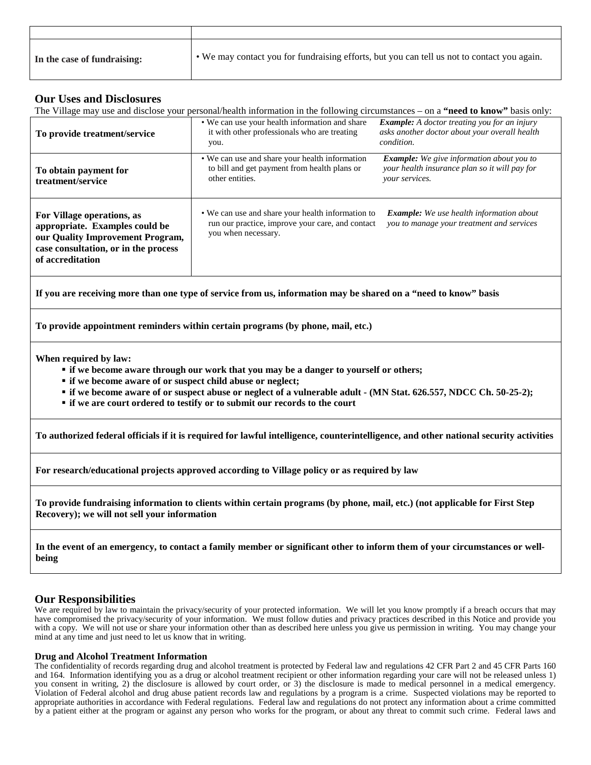| In the case of fundraising: | • We may contact you for fundraising efforts, but you can tell us not to contact you again. |
|-----------------------------|---------------------------------------------------------------------------------------------|

### **Our Uses and Disclosures**

| <b>OUT USES AND DISCIOSURES</b>                                                                                                                                                                                                                                                                                                                                                 | The Village may use and disclose your personal/health information in the following circumstances – on a "need to know" basis only: |                                                                                                                     |  |  |  |
|---------------------------------------------------------------------------------------------------------------------------------------------------------------------------------------------------------------------------------------------------------------------------------------------------------------------------------------------------------------------------------|------------------------------------------------------------------------------------------------------------------------------------|---------------------------------------------------------------------------------------------------------------------|--|--|--|
| To provide treatment/service                                                                                                                                                                                                                                                                                                                                                    | • We can use your health information and share<br>it with other professionals who are treating<br>you.                             | <b>Example:</b> A doctor treating you for an injury<br>asks another doctor about your overall health<br>condition.  |  |  |  |
| To obtain payment for<br>treatment/service                                                                                                                                                                                                                                                                                                                                      | • We can use and share your health information<br>to bill and get payment from health plans or<br>other entities.                  | <b>Example:</b> We give information about you to<br>your health insurance plan so it will pay for<br>your services. |  |  |  |
| For Village operations, as<br>appropriate. Examples could be<br>our Quality Improvement Program,<br>case consultation, or in the process<br>of accreditation                                                                                                                                                                                                                    | • We can use and share your health information to<br>run our practice, improve your care, and contact<br>you when necessary.       | Example: We use health information about<br>you to manage your treatment and services                               |  |  |  |
| If you are receiving more than one type of service from us, information may be shared on a "need to know" basis                                                                                                                                                                                                                                                                 |                                                                                                                                    |                                                                                                                     |  |  |  |
| To provide appointment reminders within certain programs (by phone, mail, etc.)                                                                                                                                                                                                                                                                                                 |                                                                                                                                    |                                                                                                                     |  |  |  |
| When required by law:<br>" if we become aware through our work that you may be a danger to yourself or others;<br>• if we become aware of or suspect child abuse or neglect;<br>" if we become aware of or suspect abuse or neglect of a vulnerable adult - (MN Stat. 626.557, NDCC Ch. 50-25-2);<br>• if we are court ordered to testify or to submit our records to the court |                                                                                                                                    |                                                                                                                     |  |  |  |
| To authorized federal officials if it is required for lawful intelligence, counterintelligence, and other national security activities                                                                                                                                                                                                                                          |                                                                                                                                    |                                                                                                                     |  |  |  |
| For research/educational projects approved according to Village policy or as required by law                                                                                                                                                                                                                                                                                    |                                                                                                                                    |                                                                                                                     |  |  |  |
| To provide fundraising information to clients within certain programs (by phone, mail, etc.) (not applicable for First Step<br>Recovery); we will not sell your information                                                                                                                                                                                                     |                                                                                                                                    |                                                                                                                     |  |  |  |

**In the event of an emergency, to contact a family member or significant other to inform them of your circumstances or wellbeing**

## **Our Responsibilities**

We are required by law to maintain the privacy/security of your protected information. We will let you know promptly if a breach occurs that may have compromised the privacy/security of your information. We must follow duties and privacy practices described in this Notice and provide you with a copy. We will not use or share your information other than as described here unless you give us permission in writing. You may change your mind at any time and just need to let us know that in writing.

### **Drug and Alcohol Treatment Information**

The confidentiality of records regarding drug and alcohol treatment is protected by Federal law and regulations 42 CFR Part 2 and 45 CFR Parts 160 and 164. Information identifying you as a drug or alcohol treatment recipient or other information regarding your care will not be released unless 1) you consent in writing, 2) the disclosure is allowed by court order, or 3) the disclosure is made to medical personnel in a medical emergency. Violation of Federal alcohol and drug abuse patient records law and regulations by a program is a crime. Suspected violations may be reported to appropriate authorities in accordance with Federal regulations. Federal law and regulations do not protect any information about a crime committed by a patient either at the program or against any person who works for the program, or about any threat to commit such crime. Federal laws and